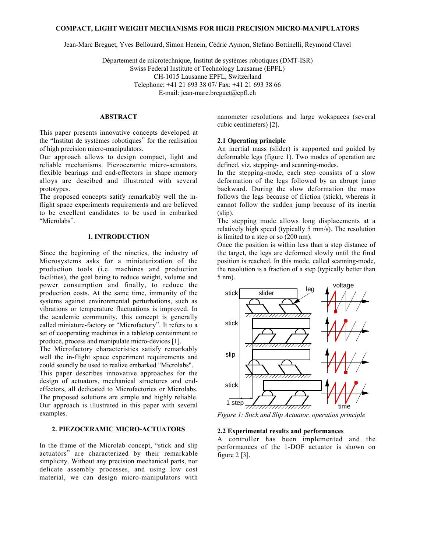### **COMPACT, LIGHT WEIGHT MECHANISMS FOR HIGH PRECISION MICRO-MANIPULATORS**

Jean-Marc Breguet, Yves Bellouard, Simon Henein, Cédric Aymon, Stefano Bottinelli, Reymond Clavel

Département de microtechnique, Institut de systèmes robotiques (DMT-ISR) Swiss Federal Institute of Technology Lausanne (EPFL) CH-1015 Lausanne EPFL, Switzerland Telephone: +41 21 693 38 07/ Fax: +41 21 693 38 66 E-mail: jean-marc.breguet@epfl.ch

#### **ABSTRACT**

This paper presents innovative concepts developed at the "Institut de systèmes robotiques" for the realisation of high precision micro-manipulators.

Our approach allows to design compact, light and reliable mechanisms. Piezoceramic micro-actuators, flexible bearings and end-effectors in shape memory alloys are descibed and illustrated with several prototypes.

The proposed concepts satify remarkably well the inflight space experiments requirements and are believed to be excellent candidates to be used in embarked "Microlabs".

### **1. INTRODUCTION**

Since the beginning of the nineties, the industry of Microsystems asks for a miniaturization of the production tools (i.e. machines and production facilities), the goal being to reduce weight, volume and power consumption and finally, to reduce the production costs. At the same time, immunity of the systems against environmental perturbations, such as vibrations or temperature fluctuations is improved. In the academic community, this concept is generally called miniature-factory or "Microfactory". It refers to a set of cooperating machines in a tabletop containment to produce, process and manipulate micro-devices [1].

The Microfactory characteristics satisfy remarkably well the in-flight space experiment requirements and could soundly be used to realize embarked "Microlabs".

This paper describes innovative approaches for the design of actuators, mechanical structures and endeffectors, all dedicated to Microfactories or Microlabs. The proposed solutions are simple and highly reliable. Our approach is illustrated in this paper with several examples.

# **2. PIEZOCERAMIC MICRO-ACTUATORS**

In the frame of the Microlab concept, "stick and slip actuators" are characterized by their remarkable simplicity. Without any precision mechanical parts, nor delicate assembly processes, and using low cost material, we can design micro-manipulators with nanometer resolutions and large wokspaces (several cubic centimeters) [2].

## **2.1 Operating principle**

An inertial mass (slider) is supported and guided by deformable legs (figure 1). Two modes of operation are defined, viz. stepping- and scanning-modes.

In the stepping-mode, each step consists of a slow deformation of the legs followed by an abrupt jump backward. During the slow deformation the mass follows the legs because of friction (stick), whereas it cannot follow the sudden jump because of its inertia (slip).

The stepping mode allows long displacements at a relatively high speed (typically 5 mm/s). The resolution is limited to a step or so (200 nm).

Once the position is within less than a step distance of the target, the legs are deformed slowly until the final position is reached. In this mode, called scanning-mode, the resolution is a fraction of a step (typically better than 5 nm).



*Figure 1: Stick and Slip Actuator, operation principle*

## **2.2 Experimental results and performances**

A controller has been implemented and the performances of the 1-DOF actuator is shown on figure 2 [3].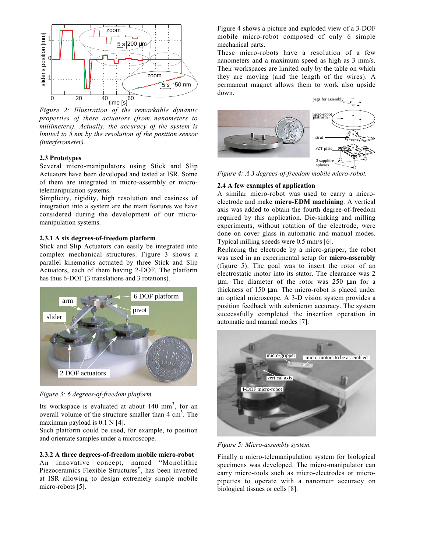

*Figure 2: Illustration of the remarkable dynamic properties of these actuators (from nanometers to millimeters). Actually, the accuracy of the system is limited to 5 nm by the resolution of the position sensor (interferometer).*

### **2.3 Prototypes**

Several micro-manipulators using Stick and Slip Actuators have been developed and tested at ISR. Some of them are integrated in micro-assembly or microtelemanipulation systems.

Simplicity, rigidity, high resolution and easiness of integration into a system are the main features we have considered during the development of our micromanipulation systems.

### **2.3.1 A six degrees-of-freedom platform**

Stick and Slip Actuators can easily be integrated into complex mechanical structures. Figure 3 shows a parallel kinematics actuated by three Stick and Slip Actuators, each of them having 2-DOF. The platform has thus 6-DOF (3 translations and 3 rotations).



*Figure 3: 6 degrees-of-freedom platform.*

Its workspace is evaluated at about  $140 \text{ mm}^3$ , for an overall volume of the structure smaller than  $4 \text{ cm}^3$ . The maximum payload is 0.1 N [4].

Such platform could be used, for example, to position and orientate samples under a microscope.

### **2.3.2 A three degrees-of-freedom mobile micro-robot**

An innovative concept, named "Monolithic Piezoceramics Flexible Structures", has been invented at ISR allowing to design extremely simple mobile micro-robots [5].

Figure 4 shows a picture and exploded view of a 3-DOF mobile micro-robot composed of only 6 simple mechanical parts.

These micro-robots have a resolution of a few nanometers and a maximum speed as high as 3 mm/s. Their workspaces are limited only by the table on which they are moving (and the length of the wires). A permanent magnet allows them to work also upside down.



*Figure 4: A 3 degrees-of-freedom mobile micro-robot.*

#### **2.4 A few examples of application**

A similar micro-robot was used to carry a microelectrode and make **micro-EDM machining**. A vertical axis was added to obtain the fourth degree-of-freedom required by this application. Die-sinking and milling experiments, without rotation of the electrode, were done on cover glass in automatic and manual modes. Typical milling speeds were 0.5 mm/s [6].

Replacing the electrode by a micro-gripper, the robot was used in an experimental setup for **micro-assembly** (figure 5). The goal was to insert the rotor of an electrostatic motor into its stator. The clearance was 2 µm. The diameter of the rotor was 250 µm for a thickness of  $150 \mu m$ . The micro-robot is placed under an optical microscope. A 3-D vision system provides a position feedback with submicron accuracy. The system successfully completed the insertion operation in automatic and manual modes [7].



*Figure 5: Micro-assembly system.*

Finally a micro-telemanipulation system for biological specimens was developed. The micro-manipulator can carry micro-tools such as micro-electrodes or micropipettes to operate with a nanometr accuracy on biological tissues or cells [8].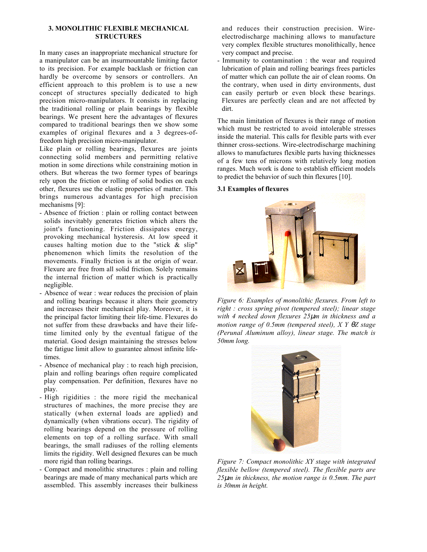### **3. MONOLITHIC FLEXIBLE MECHANICAL STRUCTURES**

In many cases an inappropriate mechanical structure for a manipulator can be an insurmountable limiting factor to its precision. For example backlash or friction can hardly be overcome by sensors or controllers. An efficient approach to this problem is to use a new concept of structures specially dedicated to high precision micro-manipulators. It consists in replacing the traditional rolling or plain bearings by flexible bearings. We present here the advantages of flexures compared to traditional bearings then we show some examples of original flexures and a 3 degrees-offreedom high precision micro-manipulator.

Like plain or rolling bearings, flexures are joints connecting solid members and permitting relative motion in some directions while constraining motion in others. But whereas the two former types of bearings rely upon the friction or rolling of solid bodies on each other, flexures use the elastic properties of matter. This brings numerous advantages for high precision mechanisms [9]:

- Absence of friction : plain or rolling contact between solids inevitably generates friction which alters the joint's functioning. Friction dissipates energy, provoking mechanical hysteresis. At low speed it causes halting motion due to the "stick & slip" phenomenon which limits the resolution of the movements. Finally friction is at the origin of wear. Flexure are free from all solid friction. Solely remains the internal friction of matter which is practically negligible.
- Absence of wear : wear reduces the precision of plain and rolling bearings because it alters their geometry and increases their mechanical play. Moreover, it is the principal factor limiting their life-time. Flexures do not suffer from these drawbacks and have their lifetime limited only by the eventual fatigue of the material. Good design maintaining the stresses below the fatigue limit allow to guarantee almost infinite lifetimes.
- Absence of mechanical play : to reach high precision, plain and rolling bearings often require complicated play compensation. Per definition, flexures have no play.
- High rigidities : the more rigid the mechanical structures of machines, the more precise they are statically (when external loads are applied) and dynamically (when vibrations occur). The rigidity of rolling bearings depend on the pressure of rolling elements on top of a rolling surface. With small bearings, the small radiuses of the rolling elements limits the rigidity. Well designed flexures can be much more rigid than rolling bearings.
- Compact and monolithic structures : plain and rolling bearings are made of many mechanical parts which are assembled. This assembly increases their bulkiness

and reduces their construction precision. Wireelectrodischarge machining allows to manufacture very complex flexible structures monolithically, hence very compact and precise.

- Immunity to contamination : the wear and required lubrication of plain and rolling bearings frees particles of matter which can pollute the air of clean rooms. On the contrary, when used in dirty environments, dust can easily perturb or even block these bearings. Flexures are perfectly clean and are not affected by dirt.

The main limitation of flexures is their range of motion which must be restricted to avoid intolerable stresses inside the material. This calls for flexible parts with ever thinner cross-sections. Wire-electrodischarge machining allows to manufactures flexible parts having thicknesses of a few tens of microns with relatively long motion ranges. Much work is done to establish efficient models to predict the behavior of such thin flexures [10].

### **3.1 Examples of flexures**



*Figure 6: Examples of monolithic flexures. From left to right : cross spring pivot (tempered steel); linear stage with 4 necked down flexures 25*µ*m in thickness and a motion range of 0.5mm (tempered steel), X Y* θ*Z stage (Perunal Aluminum alloy), linear stage. The match is 50mm long.*



*Figure 7: Compact monolithic XY stage with integrated flexible bellow (tempered steel). The flexible parts are 25*µ*m in thickness, the motion range is 0.5mm. The part is 30mm in height.*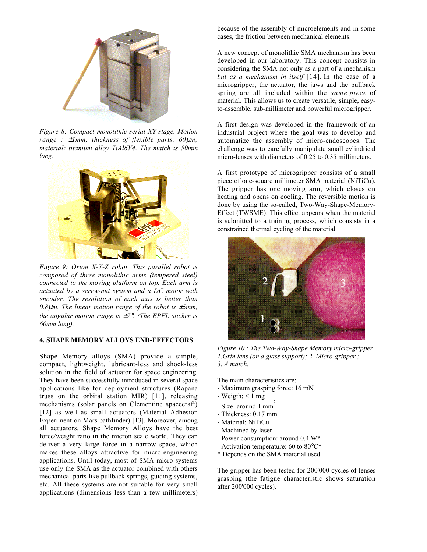

*Figure 8: Compact monolithic serial XY stage. Motion range :* ±*1mm; thickness of flexible parts: 60*µ*m; material: titanium alloy TiAl6V4. The match is 50mm long.*



*Figure 9: Orion X-Y-Z robot. This parallel robot is composed of three monolithic arms (tempered steel) connected to the moving platform on top. Each arm is actuated by a screw-nut system and a DC motor with encoder. The resolution of each axis is better than 0.8*µ*m. The linear motion range of the robot is* ±*5mm, the angular motion range is* ±*7*°*. (The EPFL sticker is 60mm long).*

### **4. SHAPE MEMORY ALLOYS END-EFFECTORS**

Shape Memory alloys (SMA) provide a simple, compact, lightweight, lubricant-less and shock-less solution in the field of actuator for space engineering. They have been successfully introduced in several space applications like for deployment structures (Rapana truss on the orbital station MIR) [11], releasing mechanisms (solar panels on Clementine spacecraft) [12] as well as small actuators (Material Adhesion Experiment on Mars pathfinder) [13]. Moreover, among all actuators, Shape Memory Alloys have the best force/weight ratio in the micron scale world. They can deliver a very large force in a narrow space, which makes these alloys attractive for micro-engineering applications. Until today, most of SMA micro-systems use only the SMA as the actuator combined with others mechanical parts like pullback springs, guiding systems, etc. All these systems are not suitable for very small applications (dimensions less than a few millimeters) because of the assembly of microelements and in some cases, the friction between mechanical elements.

A new concept of monolithic SMA mechanism has been developed in our laboratory. This concept consists in considering the SMA not only as a part of a mechanism *but as a mechanism in itself* [14]. In the case of a microgripper, the actuator, the jaws and the pullback spring are all included within the *same piece* of material. This allows us to create versatile, simple, easyto-assemble, sub-millimeter and powerful microgripper.

A first design was developed in the framework of an industrial project where the goal was to develop and automatize the assembly of micro-endoscopes. The challenge was to carefully manipulate small cylindrical micro-lenses with diameters of 0.25 to 0.35 millimeters.

A first prototype of microgripper consists of a small piece of one-square millimeter SMA material (NiTiCu). The gripper has one moving arm, which closes on heating and opens on cooling. The reversible motion is done by using the so-called, Two-Way-Shape-Memory-Effect (TWSME). This effect appears when the material is submitted to a training process, which consists in a constrained thermal cycling of the material.



*Figure 10 : The Two-Way-Shape Memory micro-gripper 1.Grin lens (on a glass support); 2. Micro-gripper ; 3. A match.*

The main characteristics are:

- Maximum grasping force: 16 mN
- $-$  Weigth:  $< 1$  mg
- Size: around 1 mm<sup>2</sup>
- Thickness: 0.17 mm
- Material: NiTiCu
- Machined by laser
- Power consumption: around 0.4 W\*
- Activation temperature: 60 to 80°C\*
- \* Depends on the SMA material used.

The gripper has been tested for 200'000 cycles of lenses grasping (the fatigue characteristic shows saturation after 200'000 cycles).